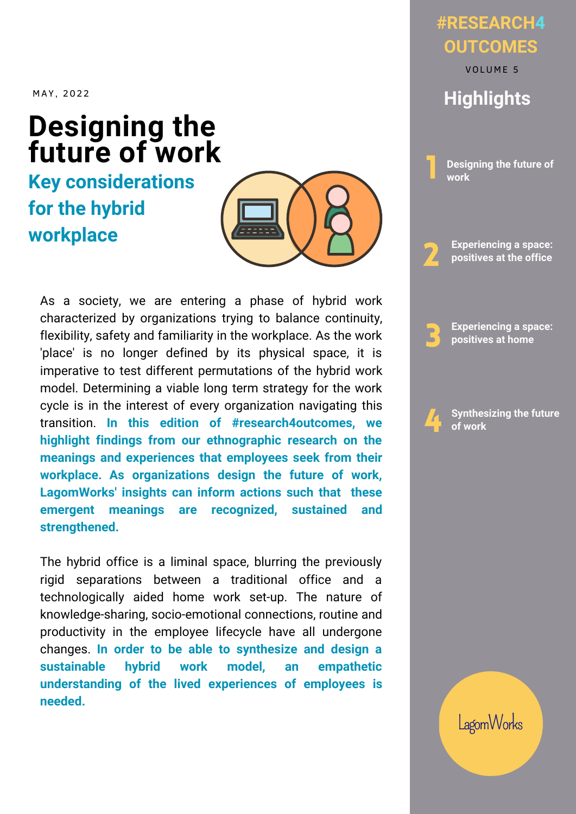MAY , 2022

## **Designing the** future of work

## **Key considerations for the hybrid workplace**



As a society, we are entering a phase of hybrid work characterized by organizations trying to balance continuity, flexibility, safety and familiarity in the workplace. As the work 'place' is no longer defined by its physical space, it is imperative to test different permutations of the hybrid work model. Determining a viable long term strategy for the work cycle is in the interest of every organization navigating this transition. **In this edition of #research4outcomes, we highlight findings from our ethnographic research on the meanings and experiences that employees seek from their workplace. As organizations design the future of work, LagomWorks' insights can inform actions such that these emergent meanings are recognized, sustained and strengthened.**

The hybrid office is a liminal space, blurring the previously rigid separations between a traditional office and a technologically aided home work set-up. The nature of knowledge-sharing, socio-emotional connections, routine and productivity in the employee lifecycle have all undergone changes. **In order to be able to synthesize and design a sustainable hybrid work model, an empathetic understanding of the lived experiences of employees is needed.**

### **#RESEARCH4 OUTCOMES**

**Highlights** VOLUME 5



**Experiencing a space: positives at the office** 2

**Experiencing a space: positives at home** 3

4 **Synthesizing the future of work**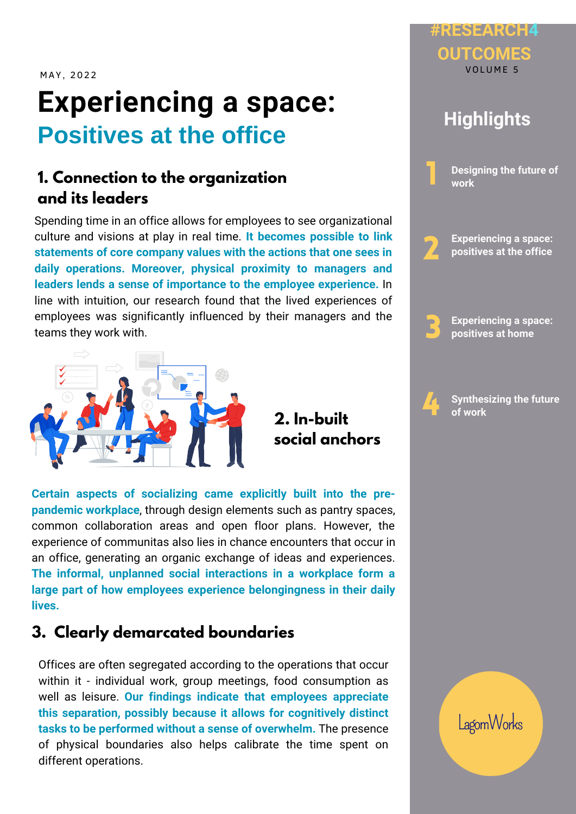MAY, 2022

# **Experiencing a space: Positives at the office**

### **1. Connection to the organization and its leaders**

Spending time in an office allows for employees to see organizational culture and visions at play in real time. **It becomes possible to link statements of core company values with the actions that one sees in daily operations. Moreover, physical proximity to managers and leaders lends a sense of importance to the employee experience.** In line with intuition, our research found that the lived experiences of employees was significantly influenced by their managers and the teams they work with.



**2. In-built social anchors**

**Certain aspects of socializing came explicitly built into the prepandemic workplace**, through design elements such as pantry spaces, common collaboration areas and open floor plans. However, the experience of communitas also lies in chance encounters that occur in an office, generating an organic exchange of ideas and experiences. **The informal, unplanned social interactions in a workplace form a large part of how employees experience belongingness in their daily lives.**

### **3. Clearly demarcated boundaries**

Offices are often segregated according to the operations that occur within it - individual work, group meetings, food consumption as well as leisure. **Our findings indicate that employees appreciate this separation, possibly because it allows for cognitively distinct tasks to be performed without a sense of overwhelm.** The presence of physical boundaries also helps calibrate the time spent on different operations.



**#RESEARCH4**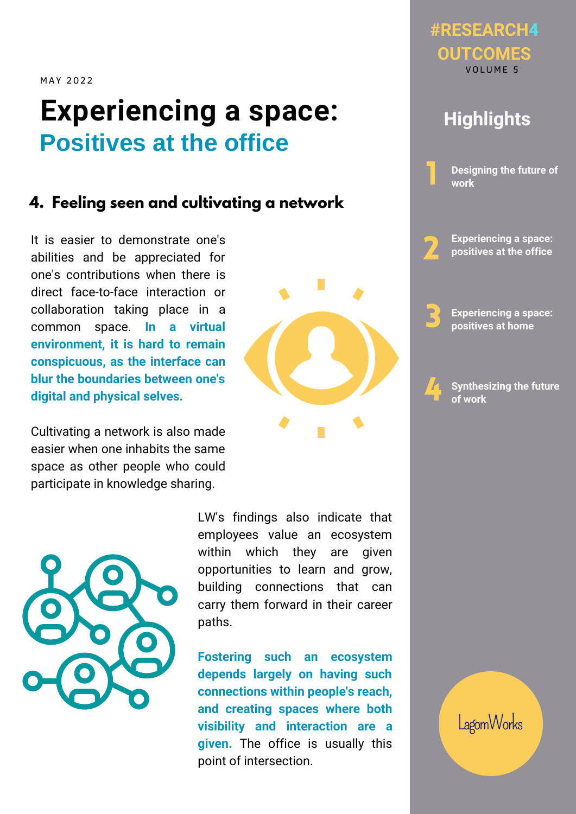MAY 2022

# **Experiencing a space: Positives at the office**

#### **4. Feeling seen and cultivating a network**

It is easier to demonstrate one's abilities and be appreciated for one's contributions when there is direct face-to-face interaction or collaboration taking place in a common space. **In a virtual environment, it is hard to remain conspicuous, as the interface can blur the boundaries between one's digital and physical selves.**

Cultivating a network is also made easier when one inhabits the same space as other people who could participate in knowledge sharing.



LW's findings also indicate that employees value an ecosystem within which they are given opportunities to learn and grow, building connections that can carry them forward in their career paths.

**Fostering such an ecosystem depends largely on having such connections within people's reach, and creating spaces where both visibility and interaction are a given.** The office is usually this point of intersection.



### **Highlights**

**Designing the future of work**

2 **Experiencing a space: positives at the office**

3 **Experiencing a space: positives at home**

4

1

**Synthesizing the future of work**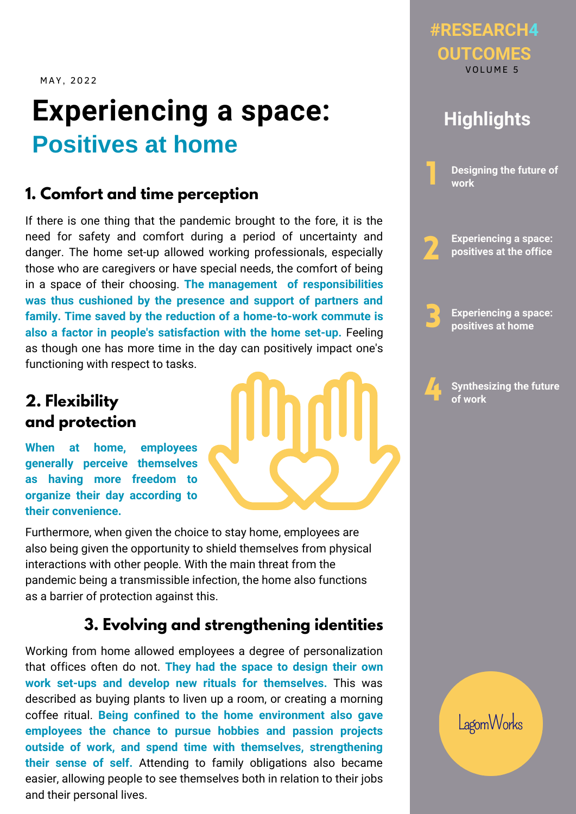MAY, 2022

# **Experiencing a space: Positives at home**

#### **1. Comfort and time perception**

If there is one thing that the pandemic brought to the fore, it is the need for safety and comfort during a period of uncertainty and danger. The home set-up allowed working professionals, especially those who are caregivers or have special needs, the comfort of being in a space of their choosing. **The management of responsibilities was thus cushioned by the presence and support of partners and family. Time saved by the reduction of a home-to-work commute is also a factor in people's satisfaction with the home set-up.** Feeling as though one has more time in the day can positively impact one's functioning with respect to tasks.

### **2. Flexibility and protection**

**When at home, employees generally perceive themselves as having more freedom to organize their day according to their convenience.**

Furthermore, when given the choice to stay home, employees are also being given the opportunity to shield themselves from physical interactions with other people. With the main threat from the pandemic being a transmissible infection, the home also functions as a barrier of protection against this.

#### **3. Evolving and strengthening identities**

Working from home allowed employees a degree of personalization that offices often do not. **They had the space to design their own work set-ups and develop new rituals for themselves.** This was described as buying plants to liven up a room, or creating a morning coffee ritual. **Being confined to the home environment also gave employees the chance to pursue hobbies and passion projects outside of work, and spend time with themselves, strengthening their sense of self.** Attending to family obligations also became easier, allowing people to see themselves both in relation to their jobs and their personal lives.